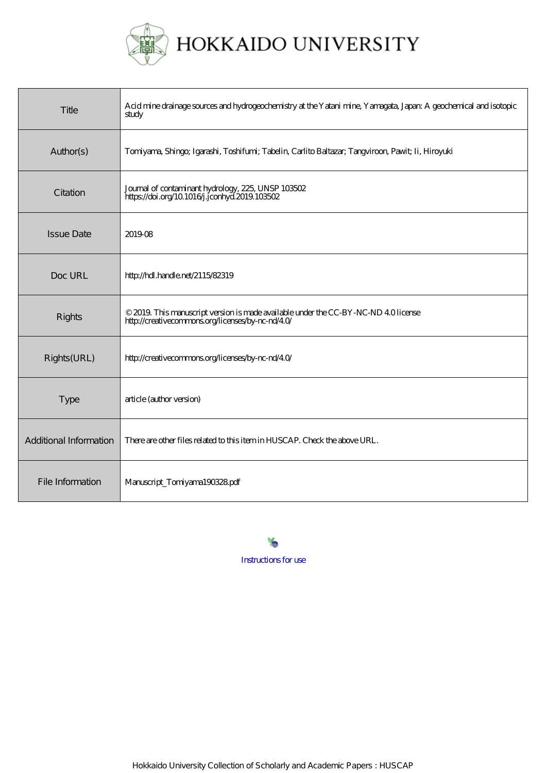

| Title                  | Acid mine drainage sources and hydrogeochemistry at the Yatani mine, Yamagata, Japan: A geochemical and isotopic<br>study              |
|------------------------|----------------------------------------------------------------------------------------------------------------------------------------|
| Author(s)              | Tomiyama, Shingo; Igarashi, Toshifumi; Tabelin, Carlito Baltazar; Tangviroon, Pawit; Ii, Hiroyuki                                      |
| Citation               | Journal of contaminant hydrology, 225, UNSP 103502<br>https://doi.org/10.1016/j.jconhyd.2019.103502                                    |
| <b>Issue Date</b>      | 201908                                                                                                                                 |
| Doc URL                | http://hdl.handle.net/2115/82319                                                                                                       |
| Rights                 | © 2019. This manuscript version is made available under the CC-BY-NC-ND 40 license<br>http://creativecommons.org/licenses/by-nc-nd/40/ |
| Rights(URL)            | http://creativecommons.org/licenses/by-nc-nd/40/                                                                                       |
| <b>Type</b>            | article (author version)                                                                                                               |
| Additional Information | There are other files related to this item in HUSCAP. Check the above URL.                                                             |
| File Information       | Manuscript_Torriyama190328pdf                                                                                                          |

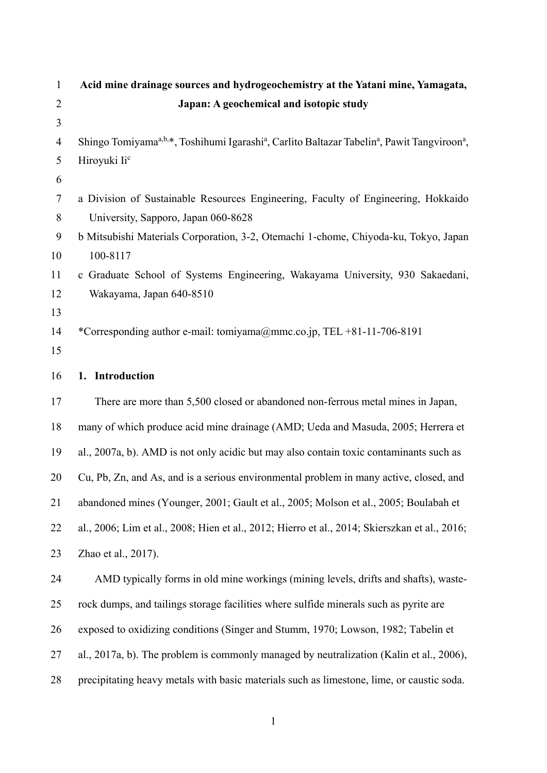| $\mathbf{1}$   | Acid mine drainage sources and hydrogeochemistry at the Yatani mine, Yamagata,                                                               |
|----------------|----------------------------------------------------------------------------------------------------------------------------------------------|
| $\overline{2}$ | Japan: A geochemical and isotopic study                                                                                                      |
| 3              |                                                                                                                                              |
| $\overline{4}$ | Shingo Tomiyama <sup>a,b,*</sup> , Toshihumi Igarashi <sup>a</sup> , Carlito Baltazar Tabelin <sup>a</sup> , Pawit Tangviroon <sup>a</sup> , |
| 5              | Hiroyuki Ii <sup>c</sup>                                                                                                                     |
| 6              |                                                                                                                                              |
| $\tau$         | a Division of Sustainable Resources Engineering, Faculty of Engineering, Hokkaido                                                            |
| 8              | University, Sapporo, Japan 060-8628                                                                                                          |
| 9              | b Mitsubishi Materials Corporation, 3-2, Otemachi 1-chome, Chiyoda-ku, Tokyo, Japan                                                          |
| 10             | 100-8117                                                                                                                                     |
| 11             | c Graduate School of Systems Engineering, Wakayama University, 930 Sakaedani,                                                                |
| 12             | Wakayama, Japan 640-8510                                                                                                                     |
| 13             |                                                                                                                                              |
| 14             | *Corresponding author e-mail: tomiyama@mmc.co.jp, TEL +81-11-706-8191                                                                        |
| 15             |                                                                                                                                              |
| 16             | 1. Introduction                                                                                                                              |
| 17             | There are more than 5,500 closed or abandoned non-ferrous metal mines in Japan,                                                              |
| 18             | many of which produce acid mine drainage (AMD; Ueda and Masuda, 2005; Herrera et                                                             |
| 19             | al., 2007a, b). AMD is not only acidic but may also contain toxic contaminants such as                                                       |
| 20             | Cu, Pb, Zn, and As, and is a serious environmental problem in many active, closed, and                                                       |
| 21             | abandoned mines (Younger, 2001; Gault et al., 2005; Molson et al., 2005; Boulabah et                                                         |
| 22             | al., 2006; Lim et al., 2008; Hien et al., 2012; Hierro et al., 2014; Skierszkan et al., 2016;                                                |
| 23             | Zhao et al., 2017).                                                                                                                          |
| 24             | AMD typically forms in old mine workings (mining levels, drifts and shafts), waste-                                                          |
| 25             | rock dumps, and tailings storage facilities where sulfide minerals such as pyrite are                                                        |
| 26             | exposed to oxidizing conditions (Singer and Stumm, 1970; Lowson, 1982; Tabelin et                                                            |
| 27             | al., 2017a, b). The problem is commonly managed by neutralization (Kalin et al., 2006),                                                      |
| 28             | precipitating heavy metals with basic materials such as limestone, lime, or caustic soda.                                                    |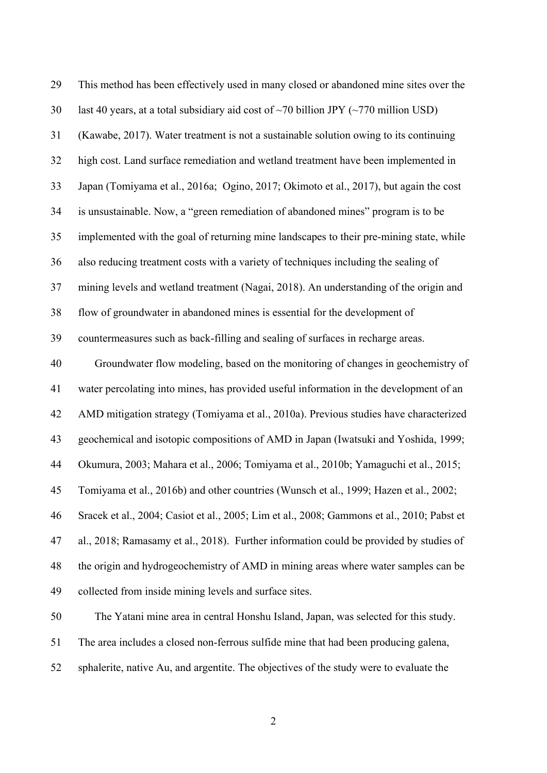| 29 | This method has been effectively used in many closed or abandoned mine sites over the            |
|----|--------------------------------------------------------------------------------------------------|
| 30 | last 40 years, at a total subsidiary aid cost of $\sim$ 70 billion JPY ( $\sim$ 770 million USD) |
| 31 | (Kawabe, 2017). Water treatment is not a sustainable solution owing to its continuing            |
| 32 | high cost. Land surface remediation and wetland treatment have been implemented in               |
| 33 | Japan (Tomiyama et al., 2016a; Ogino, 2017; Okimoto et al., 2017), but again the cost            |
| 34 | is unsustainable. Now, a "green remediation of abandoned mines" program is to be                 |
| 35 | implemented with the goal of returning mine landscapes to their pre-mining state, while          |
| 36 | also reducing treatment costs with a variety of techniques including the sealing of              |
| 37 | mining levels and wetland treatment (Nagai, 2018). An understanding of the origin and            |
| 38 | flow of groundwater in abandoned mines is essential for the development of                       |
| 39 | countermeasures such as back-filling and sealing of surfaces in recharge areas.                  |
| 40 | Groundwater flow modeling, based on the monitoring of changes in geochemistry of                 |
| 41 | water percolating into mines, has provided useful information in the development of an           |
| 42 | AMD mitigation strategy (Tomiyama et al., 2010a). Previous studies have characterized            |
| 43 | geochemical and isotopic compositions of AMD in Japan (Iwatsuki and Yoshida, 1999;               |
| 44 | Okumura, 2003; Mahara et al., 2006; Tomiyama et al., 2010b; Yamaguchi et al., 2015;              |
| 45 | Tomiyama et al., 2016b) and other countries (Wunsch et al., 1999; Hazen et al., 2002;            |
| 46 | Sracek et al., 2004; Casiot et al., 2005; Lim et al., 2008; Gammons et al., 2010; Pabst et       |
| 47 | al., 2018; Ramasamy et al., 2018). Further information could be provided by studies of           |
| 48 | the origin and hydrogeochemistry of AMD in mining areas where water samples can be               |
| 49 | collected from inside mining levels and surface sites.                                           |
| 50 | The Yatani mine area in central Honshu Island, Japan, was selected for this study.               |
|    |                                                                                                  |

51 The area includes a closed non-ferrous sulfide mine that had been producing galena,

52 sphalerite, native Au, and argentite. The objectives of the study were to evaluate the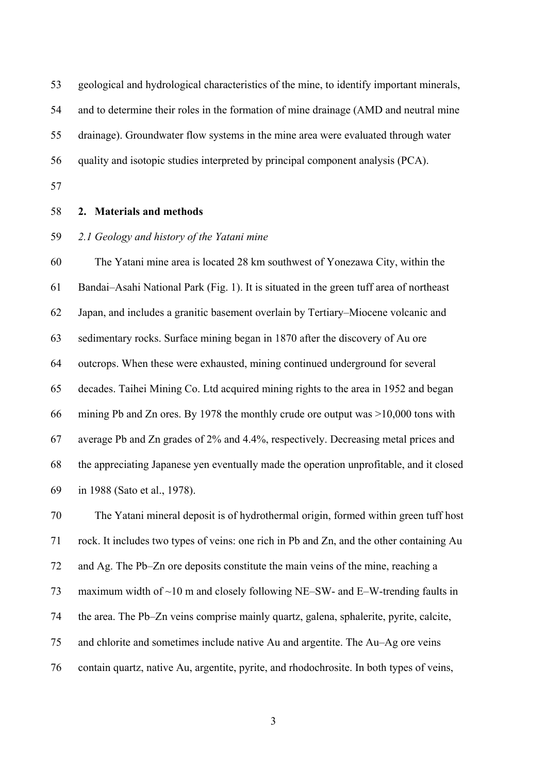53 geological and hydrological characteristics of the mine, to identify important minerals,

54 and to determine their roles in the formation of mine drainage (AMD and neutral mine

55 drainage). Groundwater flow systems in the mine area were evaluated through water

56 quality and isotopic studies interpreted by principal component analysis (PCA).

57

# 58 **2. Materials and methods**

### 59 *2.1 Geology and history of the Yatani mine*

60 The Yatani mine area is located 28 km southwest of Yonezawa City, within the 61 Bandai–Asahi National Park (Fig. 1). It is situated in the green tuff area of northeast 62 Japan, and includes a granitic basement overlain by Tertiary–Miocene volcanic and 63 sedimentary rocks. Surface mining began in 1870 after the discovery of Au ore 64 outcrops. When these were exhausted, mining continued underground for several 65 decades. Taihei Mining Co. Ltd acquired mining rights to the area in 1952 and began 66 mining Pb and Zn ores. By 1978 the monthly crude ore output was >10,000 tons with 67 average Pb and Zn grades of 2% and 4.4%, respectively. Decreasing metal prices and 68 the appreciating Japanese yen eventually made the operation unprofitable, and it closed 69 in 1988 (Sato et al., 1978).

70 The Yatani mineral deposit is of hydrothermal origin, formed within green tuff host 71 rock. It includes two types of veins: one rich in Pb and Zn, and the other containing Au 72 and Ag. The Pb–Zn ore deposits constitute the main veins of the mine, reaching a 73 maximum width of ~10 m and closely following NE–SW- and E–W-trending faults in 74 the area. The Pb–Zn veins comprise mainly quartz, galena, sphalerite, pyrite, calcite, 75 and chlorite and sometimes include native Au and argentite. The Au–Ag ore veins 76 contain quartz, native Au, argentite, pyrite, and rhodochrosite. In both types of veins,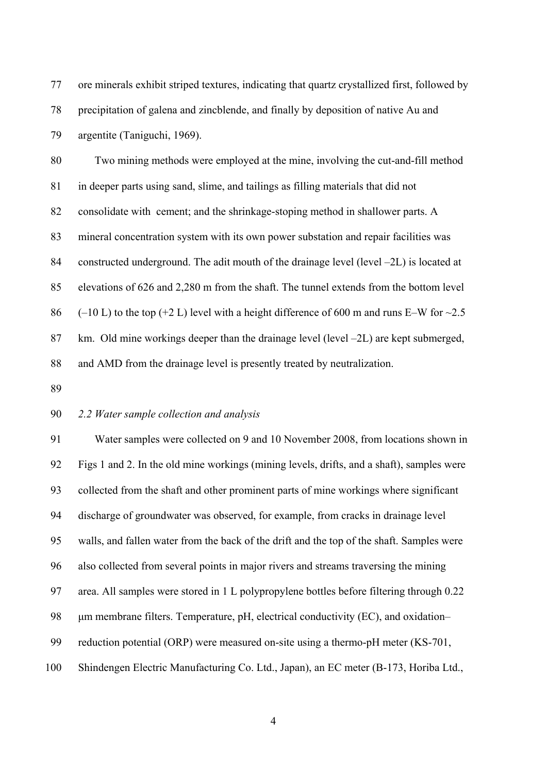77 ore minerals exhibit striped textures, indicating that quartz crystallized first, followed by 78 precipitation of galena and zincblende, and finally by deposition of native Au and 79 argentite (Taniguchi, 1969).

80 Two mining methods were employed at the mine, involving the cut-and-fill method 81 in deeper parts using sand, slime, and tailings as filling materials that did not 82 consolidate with cement; and the shrinkage-stoping method in shallower parts. A 83 mineral concentration system with its own power substation and repair facilities was 84 constructed underground. The adit mouth of the drainage level (level –2L) is located at 85 elevations of 626 and 2,280 m from the shaft. The tunnel extends from the bottom level 86 (–10 L) to the top (+2 L) level with a height difference of 600 m and runs E–W for  $\sim$ 2.5 87 km. Old mine workings deeper than the drainage level (level –2L) are kept submerged, 88 and AMD from the drainage level is presently treated by neutralization.

89

#### 90 *2.2 Water sample collection and analysis*

91 Water samples were collected on 9 and 10 November 2008, from locations shown in 92 Figs 1 and 2. In the old mine workings (mining levels, drifts, and a shaft), samples were 93 collected from the shaft and other prominent parts of mine workings where significant 94 discharge of groundwater was observed, for example, from cracks in drainage level 95 walls, and fallen water from the back of the drift and the top of the shaft. Samples were 96 also collected from several points in major rivers and streams traversing the mining 97 area. All samples were stored in 1 L polypropylene bottles before filtering through 0.22 98 μm membrane filters. Temperature, pH, electrical conductivity (EC), and oxidation– 99 reduction potential (ORP) were measured on-site using a thermo-pH meter (KS-701, 100 Shindengen Electric Manufacturing Co. Ltd., Japan), an EC meter (B-173, Horiba Ltd.,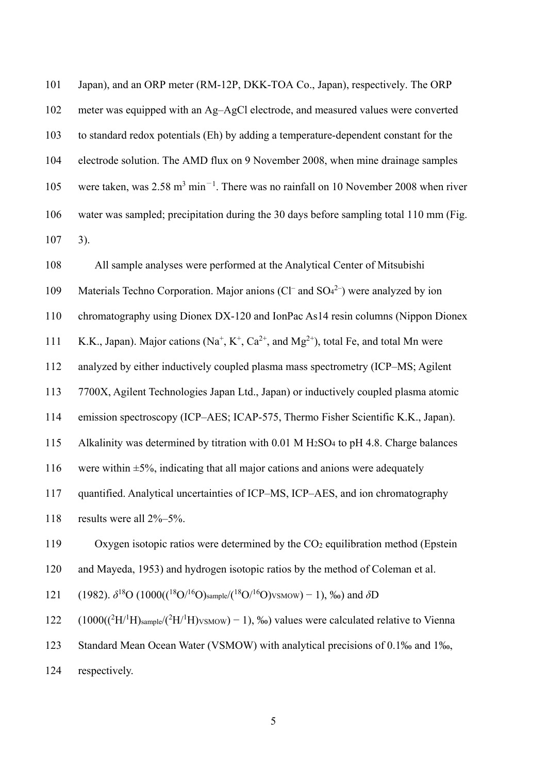| 101 | Japan), and an ORP meter (RM-12P, DKK-TOA Co., Japan), respectively. The ORP                                                           |
|-----|----------------------------------------------------------------------------------------------------------------------------------------|
| 102 | meter was equipped with an Ag-AgCl electrode, and measured values were converted                                                       |
| 103 | to standard redox potentials (Eh) by adding a temperature-dependent constant for the                                                   |
| 104 | electrode solution. The AMD flux on 9 November 2008, when mine drainage samples                                                        |
| 105 | were taken, was $2.58 \text{ m}^3 \text{ min}^{-1}$ . There was no rainfall on 10 November 2008 when river                             |
| 106 | water was sampled; precipitation during the 30 days before sampling total 110 mm (Fig.                                                 |
| 107 | 3).                                                                                                                                    |
| 108 | All sample analyses were performed at the Analytical Center of Mitsubishi                                                              |
| 109 | Materials Techno Corporation. Major anions ( $Cl-$ and $SO42$ ) were analyzed by ion                                                   |
| 110 | chromatography using Dionex DX-120 and IonPac As14 resin columns (Nippon Dionex                                                        |
| 111 | K.K., Japan). Major cations (Na <sup>+</sup> , K <sup>+</sup> , Ca <sup>2+</sup> , and Mg <sup>2+</sup> ), total Fe, and total Mn were |
| 112 | analyzed by either inductively coupled plasma mass spectrometry (ICP–MS; Agilent                                                       |
| 113 | 7700X, Agilent Technologies Japan Ltd., Japan) or inductively coupled plasma atomic                                                    |
| 114 | emission spectroscopy (ICP–AES; ICAP-575, Thermo Fisher Scientific K.K., Japan).                                                       |
| 115 | Alkalinity was determined by titration with 0.01 M H <sub>2</sub> SO <sub>4</sub> to pH 4.8. Charge balances                           |
| 116 | were within $\pm$ 5%, indicating that all major cations and anions were adequately                                                     |
| 117 | quantified. Analytical uncertainties of ICP-MS, ICP-AES, and ion chromatography                                                        |
| 118 | results were all 2%-5%.                                                                                                                |
| 119 | Oxygen isotopic ratios were determined by the $CO2$ equilibration method (Epstein                                                      |
| 120 | and Mayeda, 1953) and hydrogen isotopic ratios by the method of Coleman et al.                                                         |
| 121 | (1982). $\delta^{18}O(1000((^{18}O/^{16}O)_{sample}/(^{18}O/^{16}O)_{VSMOW}) - 1)$ , ‰) and $\delta D$                                 |
| 122 | $(1000((^2H/H)_{sample}/(^2H/H)_{VSMOW}) - 1)$ , ‰) values were calculated relative to Vienna                                          |
| 123 | Standard Mean Ocean Water (VSMOW) with analytical precisions of 0.1‰ and 1‰,                                                           |
| 124 | respectively.                                                                                                                          |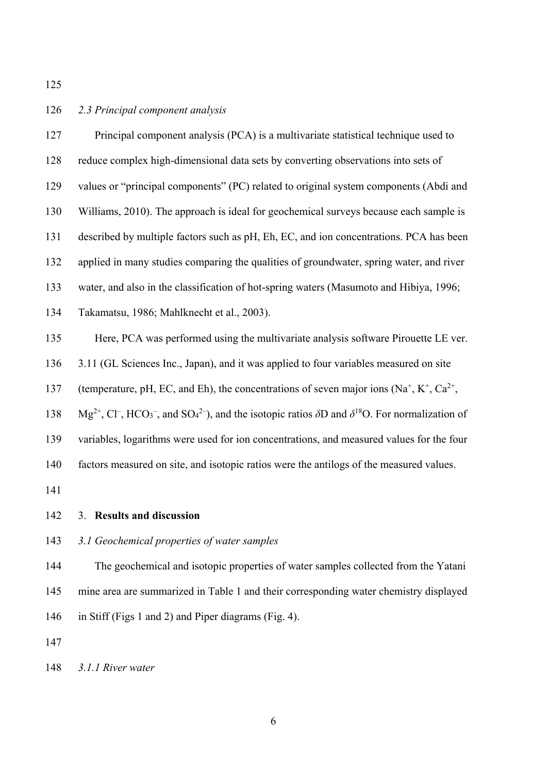#### 126 *2.3 Principal component analysis*

127 Principal component analysis (PCA) is a multivariate statistical technique used to 128 reduce complex high-dimensional data sets by converting observations into sets of 129 values or "principal components" (PC) related to original system components (Abdi and 130 Williams, 2010). The approach is ideal for geochemical surveys because each sample is 131 described by multiple factors such as pH, Eh, EC, and ion concentrations. PCA has been 132 applied in many studies comparing the qualities of groundwater, spring water, and river 133 water, and also in the classification of hot-spring waters (Masumoto and Hibiya, 1996; 134 Takamatsu, 1986; Mahlknecht et al., 2003). 135 Here, PCA was performed using the multivariate analysis software Pirouette LE ver. 136 3.11 (GL Sciences Inc., Japan), and it was applied to four variables measured on site 137 (temperature, pH, EC, and Eh), the concentrations of seven major ions  $(Na^+, K^+, Ca^{2+},$ 138 Mg<sup>2+</sup>, Cl<sup>-</sup>, HCO<sub>3</sub><sup>-</sup>, and SO<sub>4</sub><sup>2-</sup>), and the isotopic ratios  $\delta$ D and  $\delta$ <sup>18</sup>O. For normalization of 139 variables, logarithms were used for ion concentrations, and measured values for the four 140 factors measured on site, and isotopic ratios were the antilogs of the measured values. 141

- 142 3. **Results and discussion**
- 143 *3.1 Geochemical properties of water samples*

144 The geochemical and isotopic properties of water samples collected from the Yatani 145 mine area are summarized in Table 1 and their corresponding water chemistry displayed 146 in Stiff (Figs 1 and 2) and Piper diagrams (Fig. 4).

147

148 *3.1.1 River water*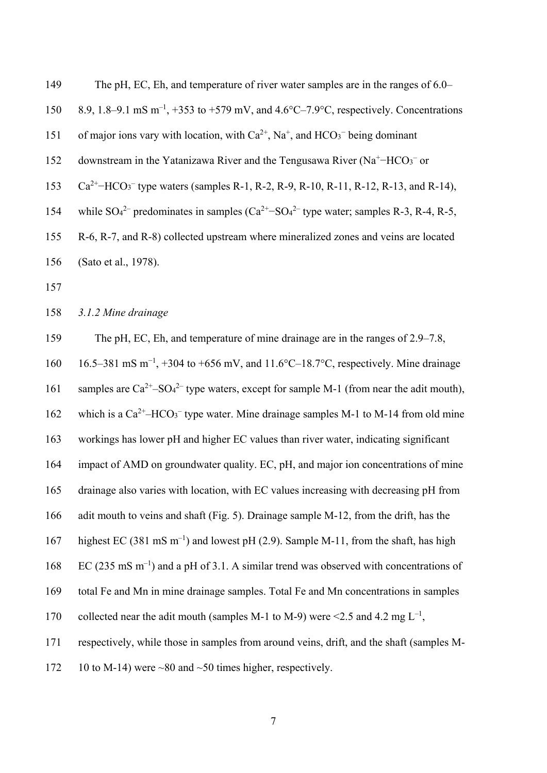| 149 | The pH, EC, Eh, and temperature of river water samples are in the ranges of 6.0–                                      |
|-----|-----------------------------------------------------------------------------------------------------------------------|
| 150 | 8.9, 1.8–9.1 mS m <sup>-1</sup> , +353 to +579 mV, and 4.6°C–7.9°C, respectively. Concentrations                      |
| 151 | of major ions vary with location, with $Ca^{2+}$ , Na <sup>+</sup> , and HCO <sub>3</sub> <sup>-</sup> being dominant |
| 152 | downstream in the Yatanizawa River and the Tengusawa River ( $Na+-HCO3$ or                                            |
| 153 | $Ca^{2+}$ –HCO <sub>3</sub> <sup>–</sup> type waters (samples R-1, R-2, R-9, R-10, R-11, R-12, R-13, and R-14),       |
| 154 | while $SO_4^2$ predominates in samples $(Ca^{2+}-SO_4^2)$ type water; samples R-3, R-4, R-5,                          |
| 155 | R-6, R-7, and R-8) collected upstream where mineralized zones and veins are located                                   |
| 156 | (Sato et al., 1978).                                                                                                  |
| 157 |                                                                                                                       |
|     |                                                                                                                       |

158 *3.1.2 Mine drainage* 

159 The pH, EC, Eh, and temperature of mine drainage are in the ranges of 2.9–7.8,

160 16.5–381 mS m<sup>-1</sup>, +304 to +656 mV, and 11.6°C–18.7°C, respectively. Mine drainage

161 samples are  $Ca^{2+} - SO_4^{2-}$  type waters, except for sample M-1 (from near the adit mouth),

162 which is a  $Ca^{2+}$ -HCO<sub>3</sub><sup>-</sup> type water. Mine drainage samples M-1 to M-14 from old mine

163 workings has lower pH and higher EC values than river water, indicating significant

164 impact of AMD on groundwater quality. EC, pH, and major ion concentrations of mine

165 drainage also varies with location, with EC values increasing with decreasing pH from

166 adit mouth to veins and shaft (Fig. 5). Drainage sample M-12, from the drift, has the

highest EC (381 mS m<sup>-1</sup>) and lowest pH (2.9). Sample M-11, from the shaft, has high

168 EC (235 mS  $\text{m}^{-1}$ ) and a pH of 3.1. A similar trend was observed with concentrations of

169 total Fe and Mn in mine drainage samples. Total Fe and Mn concentrations in samples

170 collected near the adit mouth (samples M-1 to M-9) were  $\leq$ 2.5 and 4.2 mg L<sup>-1</sup>,

171 respectively, while those in samples from around veins, drift, and the shaft (samples M-

172 10 to M-14) were  $\sim 80$  and  $\sim 50$  times higher, respectively.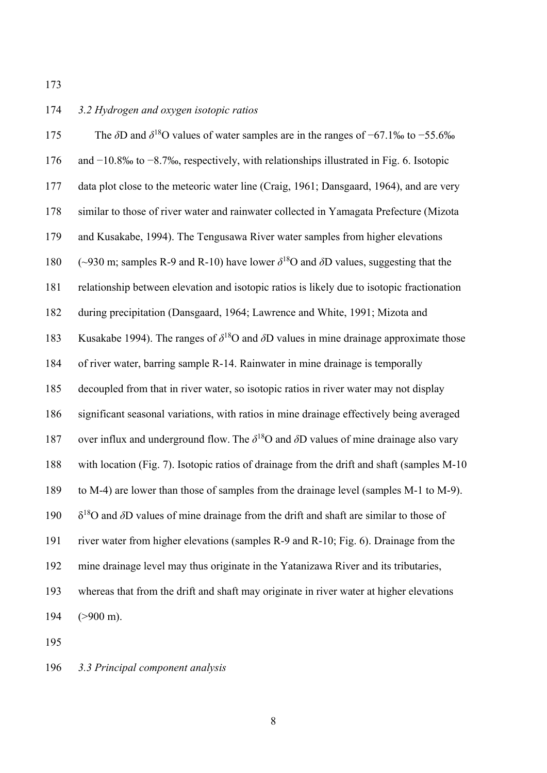# 174 *3.2 Hydrogen and oxygen isotopic ratios*

| 175 | The $\delta$ D and $\delta^{18}$ O values of water samples are in the ranges of -67.1‰ to -55.6‰        |
|-----|---------------------------------------------------------------------------------------------------------|
| 176 | and $-10.8\%$ to $-8.7\%$ , respectively, with relationships illustrated in Fig. 6. Isotopic            |
| 177 | data plot close to the meteoric water line (Craig, 1961; Dansgaard, 1964), and are very                 |
| 178 | similar to those of river water and rainwater collected in Yamagata Prefecture (Mizota                  |
| 179 | and Kusakabe, 1994). The Tengusawa River water samples from higher elevations                           |
| 180 | (~930 m; samples R-9 and R-10) have lower $\delta^{18}$ O and $\delta$ D values, suggesting that the    |
| 181 | relationship between elevation and isotopic ratios is likely due to isotopic fractionation              |
| 182 | during precipitation (Dansgaard, 1964; Lawrence and White, 1991; Mizota and                             |
| 183 | Kusakabe 1994). The ranges of $\delta^{18}O$ and $\delta D$ values in mine drainage approximate those   |
| 184 | of river water, barring sample R-14. Rainwater in mine drainage is temporally                           |
| 185 | decoupled from that in river water, so isotopic ratios in river water may not display                   |
| 186 | significant seasonal variations, with ratios in mine drainage effectively being averaged                |
| 187 | over influx and underground flow. The $\delta^{18}$ O and $\delta$ D values of mine drainage also vary  |
| 188 | with location (Fig. 7). Isotopic ratios of drainage from the drift and shaft (samples M-10              |
| 189 | to M-4) are lower than those of samples from the drainage level (samples M-1 to M-9).                   |
| 190 | $\delta^{18}$ O and $\delta$ D values of mine drainage from the drift and shaft are similar to those of |
| 191 | river water from higher elevations (samples R-9 and R-10; Fig. 6). Drainage from the                    |
| 192 | mine drainage level may thus originate in the Yatanizawa River and its tributaries,                     |
| 193 | whereas that from the drift and shaft may originate in river water at higher elevations                 |
| 194 | $(>900 \text{ m})$ .                                                                                    |
|     |                                                                                                         |

195

# 196 *3.3 Principal component analysis*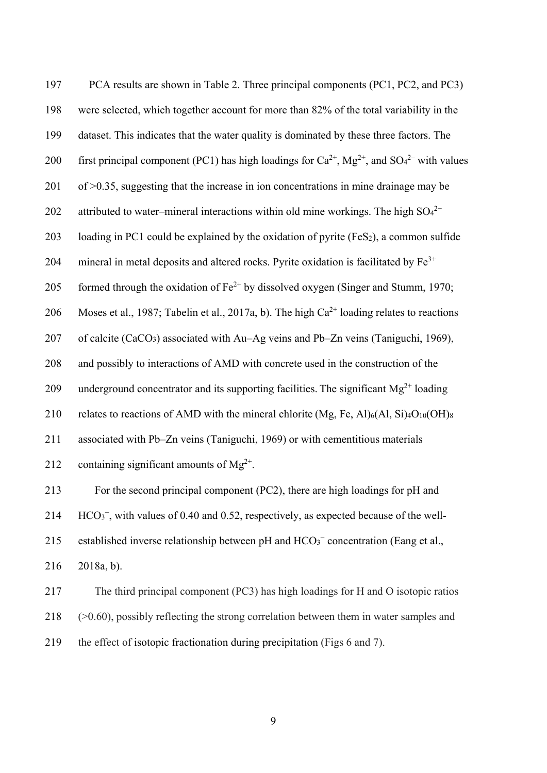197 PCA results are shown in Table 2. Three principal components (PC1, PC2, and PC3) 198 were selected, which together account for more than 82% of the total variability in the 199 dataset. This indicates that the water quality is dominated by these three factors. The 200 first principal component (PC1) has high loadings for  $Ca^{2+}$ , Mg<sup>2+</sup>, and SO<sub>4</sub><sup>2-</sup> with values 201 of >0.35, suggesting that the increase in ion concentrations in mine drainage may be 202 attributed to water–mineral interactions within old mine workings. The high  $SO<sub>4</sub><sup>2</sup>$ 203 loading in PC1 could be explained by the oxidation of pyrite  $(F \in S_2)$ , a common sulfide 204 mineral in metal deposits and altered rocks. Pyrite oxidation is facilitated by  $Fe<sup>3+</sup>$ 205 formed through the oxidation of  $Fe^{2+}$  by dissolved oxygen (Singer and Stumm, 1970; 206 Moses et al., 1987; Tabelin et al., 2017a, b). The high  $Ca^{2+}$  loading relates to reactions 207 of calcite (CaCO3) associated with Au–Ag veins and Pb–Zn veins (Taniguchi, 1969), 208 and possibly to interactions of AMD with concrete used in the construction of the 209 underground concentrator and its supporting facilities. The significant  $Mg^{2+}$  loading 210 relates to reactions of AMD with the mineral chlorite  $(Mg, Fe, Al)_{6}(Al, Si)_{4}O_{10}(OH)_{8}$ 211 associated with Pb–Zn veins (Taniguchi, 1969) or with cementitious materials 212 containing significant amounts of  $Mg^{2+}$ . 213 For the second principal component (PC2), there are high loadings for pH and 214  $\text{HCO}_3^-$ , with values of 0.40 and 0.52, respectively, as expected because of the well-215 established inverse relationship between pH and  $HCO<sub>3</sub><sup>-</sup>$  concentration (Eang et al., 216 2018a, b). 217 The third principal component (PC3) has high loadings for H and O isotopic ratios 218 (>0.60), possibly reflecting the strong correlation between them in water samples and 219 the effect of isotopic fractionation during precipitation (Figs 6 and 7).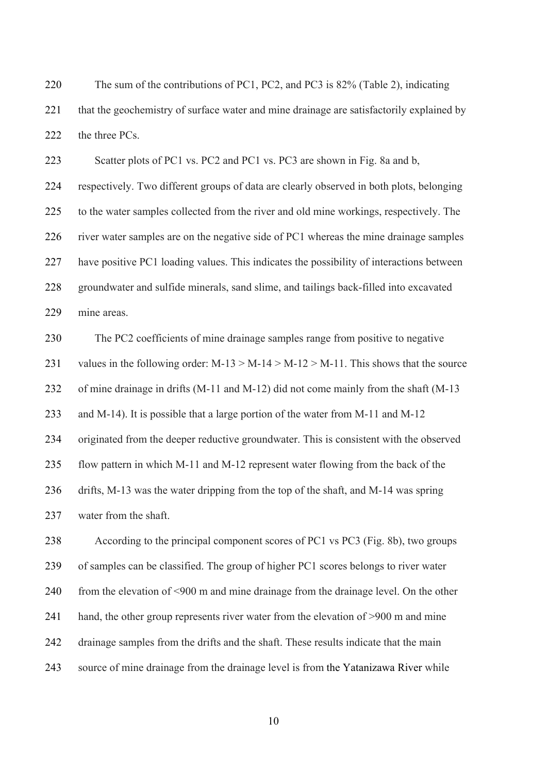220 The sum of the contributions of PC1, PC2, and PC3 is 82% (Table 2), indicating 221 that the geochemistry of surface water and mine drainage are satisfactorily explained by 222 the three PCs.

223 Scatter plots of PC1 vs. PC2 and PC1 vs. PC3 are shown in Fig. 8a and b, 224 respectively. Two different groups of data are clearly observed in both plots, belonging 225 to the water samples collected from the river and old mine workings, respectively. The 226 river water samples are on the negative side of PC1 whereas the mine drainage samples 227 have positive PC1 loading values. This indicates the possibility of interactions between 228 groundwater and sulfide minerals, sand slime, and tailings back-filled into excavated 229 mine areas.

230 The PC2 coefficients of mine drainage samples range from positive to negative 231 values in the following order:  $M-13 > M-14 > M-12 > M-11$ . This shows that the source 232 of mine drainage in drifts (M-11 and M-12) did not come mainly from the shaft (M-13 233 and M-14). It is possible that a large portion of the water from M-11 and M-12 234 originated from the deeper reductive groundwater. This is consistent with the observed 235 flow pattern in which M-11 and M-12 represent water flowing from the back of the 236 drifts, M-13 was the water dripping from the top of the shaft, and M-14 was spring 237 water from the shaft.

238 According to the principal component scores of PC1 vs PC3 (Fig. 8b), two groups 239 of samples can be classified. The group of higher PC1 scores belongs to river water 240 from the elevation of <900 m and mine drainage from the drainage level. On the other 241 hand, the other group represents river water from the elevation of >900 m and mine 242 drainage samples from the drifts and the shaft. These results indicate that the main 243 source of mine drainage from the drainage level is from the Yatanizawa River while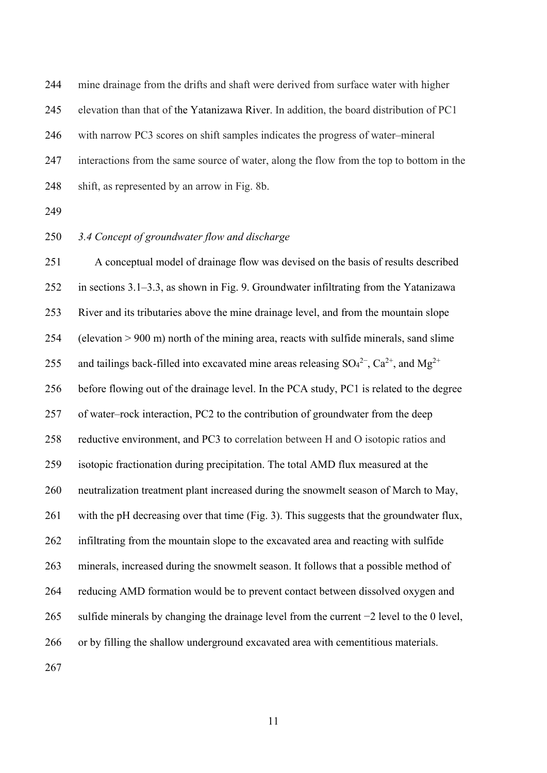244 mine drainage from the drifts and shaft were derived from surface water with higher 245 elevation than that of the Yatanizawa River. In addition, the board distribution of PC1 246 with narrow PC3 scores on shift samples indicates the progress of water–mineral 247 interactions from the same source of water, along the flow from the top to bottom in the 248 shift, as represented by an arrow in Fig. 8b.

249

## 250 *3.4 Concept of groundwater flow and discharge*

251 A conceptual model of drainage flow was devised on the basis of results described 252 in sections 3.1–3.3, as shown in Fig. 9. Groundwater infiltrating from the Yatanizawa 253 River and its tributaries above the mine drainage level, and from the mountain slope 254 (elevation > 900 m) north of the mining area, reacts with sulfide minerals, sand slime 255 and tailings back-filled into excavated mine areas releasing  $SO_4^{2-}$ ,  $Ca^{2+}$ , and  $Mg^{2+}$ 256 before flowing out of the drainage level. In the PCA study, PC1 is related to the degree 257 of water–rock interaction, PC2 to the contribution of groundwater from the deep 258 reductive environment, and PC3 to correlation between H and O isotopic ratios and 259 isotopic fractionation during precipitation. The total AMD flux measured at the 260 neutralization treatment plant increased during the snowmelt season of March to May, 261 with the pH decreasing over that time (Fig. 3). This suggests that the groundwater flux, 262 infiltrating from the mountain slope to the excavated area and reacting with sulfide 263 minerals, increased during the snowmelt season. It follows that a possible method of 264 reducing AMD formation would be to prevent contact between dissolved oxygen and 265 sulfide minerals by changing the drainage level from the current −2 level to the 0 level, 266 or by filling the shallow underground excavated area with cementitious materials. 267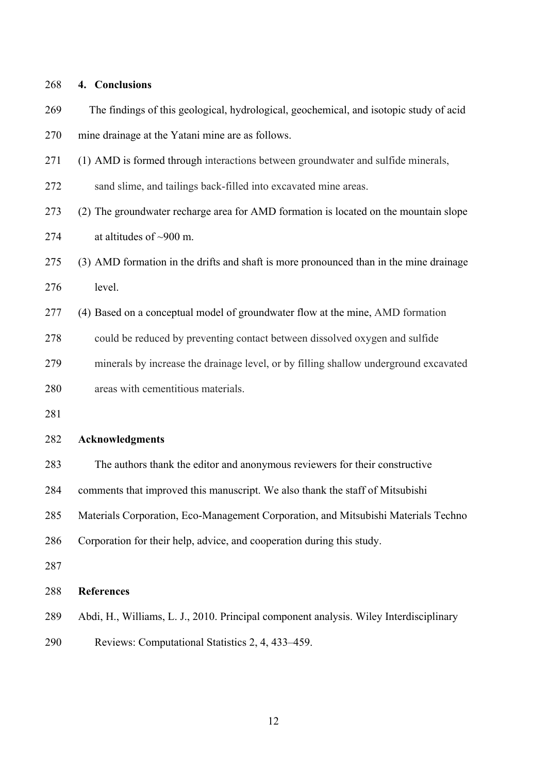268 **4. Conclusions**  269 The findings of this geological, hydrological, geochemical, and isotopic study of acid 270 mine drainage at the Yatani mine are as follows. 271 (1) AMD is formed through interactions between groundwater and sulfide minerals, 272 sand slime, and tailings back-filled into excavated mine areas. 273 (2) The groundwater recharge area for AMD formation is located on the mountain slope 274 at altitudes of  $\sim$ 900 m. 275 (3) AMD formation in the drifts and shaft is more pronounced than in the mine drainage 276 level. 277 (4) Based on a conceptual model of groundwater flow at the mine, AMD formation 278 could be reduced by preventing contact between dissolved oxygen and sulfide 279 minerals by increase the drainage level, or by filling shallow underground excavated 280 areas with cementitious materials. 281 282 **Acknowledgments** 283 The authors thank the editor and anonymous reviewers for their constructive 284 comments that improved this manuscript. We also thank the staff of Mitsubishi 285 Materials Corporation, Eco-Management Corporation, and Mitsubishi Materials Techno 286 Corporation for their help, advice, and cooperation during this study. 287 288 **References** 

- 289 Abdi, H., Williams, L. J., 2010. Principal component analysis. Wiley Interdisciplinary
- 290 Reviews: Computational Statistics 2, 4, 433–459.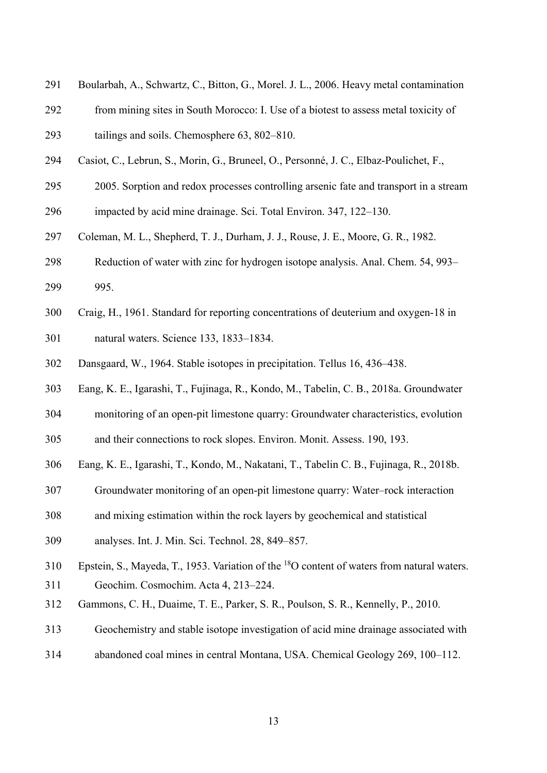- 291 Boularbah, A., Schwartz, C., Bitton, G., Morel. J. L., 2006. Heavy metal contamination
- 292 from mining sites in South Morocco: I. Use of a biotest to assess metal toxicity of
- 293 tailings and soils. Chemosphere 63, 802–810.
- 294 Casiot, C., Lebrun, S., Morin, G., Bruneel, O., Personné, J. C., Elbaz-Poulichet, F.,
- 295 2005. Sorption and redox processes controlling arsenic fate and transport in a stream
- 296 impacted by acid mine drainage. Sci. Total Environ. 347, 122–130.
- 297 Coleman, M. L., Shepherd, T. J., Durham, J. J., Rouse, J. E., Moore, G. R., 1982.
- 298 Reduction of water with zinc for hydrogen isotope analysis. Anal. Chem. 54, 993– 299 995.
- 300 Craig, H., 1961. Standard for reporting concentrations of deuterium and oxygen-18 in 301 natural waters. Science 133, 1833–1834.
- 302 Dansgaard, W., 1964. Stable isotopes in precipitation. Tellus 16, 436–438.
- 303 Eang, K. E., Igarashi, T., Fujinaga, R., Kondo, M., Tabelin, C. B., 2018a. Groundwater
- 304 monitoring of an open-pit limestone quarry: Groundwater characteristics, evolution
- 305 and their connections to rock slopes. Environ. Monit. Assess. 190, 193.
- 306 Eang, K. E., Igarashi, T., Kondo, M., Nakatani, T., Tabelin C. B., Fujinaga, R., 2018b.
- 307 Groundwater monitoring of an open-pit limestone quarry: Water–rock interaction
- 308 and mixing estimation within the rock layers by geochemical and statistical
- 309 analyses. Int. J. Min. Sci. Technol. 28, 849–857.
- 310 Epstein, S., Mayeda, T., 1953. Variation of the  $^{18}$ O content of waters from natural waters. 311 Geochim. Cosmochim. Acta 4, 213–224.
- 312 Gammons, C. H., Duaime, T. E., Parker, S. R., Poulson, S. R., Kennelly, P., 2010.
- 313 Geochemistry and stable isotope investigation of acid mine drainage associated with
- 314 abandoned coal mines in central Montana, USA. Chemical Geology 269, 100–112.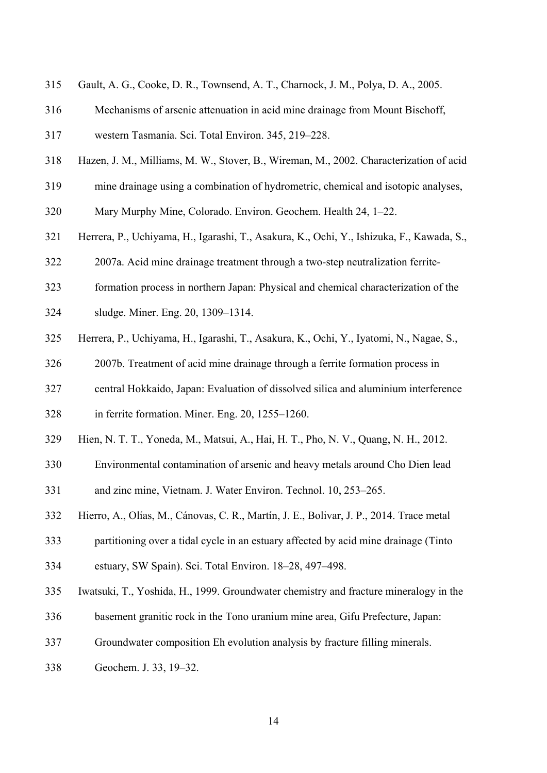- 315 Gault, A. G., Cooke, D. R., Townsend, A. T., Charnock, J. M., Polya, D. A., 2005.
- 316 Mechanisms of arsenic attenuation in acid mine drainage from Mount Bischoff,
- 317 western Tasmania. Sci. Total Environ. 345, 219–228.
- 318 Hazen, J. M., Milliams, M. W., Stover, B., Wireman, M., 2002. Characterization of acid
- 319 mine drainage using a combination of hydrometric, chemical and isotopic analyses,
- 320 Mary Murphy Mine, Colorado. Environ. Geochem. Health 24, 1–22.
- 321 Herrera, P., Uchiyama, H., Igarashi, T., Asakura, K., Ochi, Y., Ishizuka, F., Kawada, S.,
- 322 2007a. Acid mine drainage treatment through a two-step neutralization ferrite-
- 323 formation process in northern Japan: Physical and chemical characterization of the
- 324 sludge. Miner. Eng. 20, 1309–1314.
- 325 Herrera, P., Uchiyama, H., Igarashi, T., Asakura, K., Ochi, Y., Iyatomi, N., Nagae, S.,
- 326 2007b. Treatment of acid mine drainage through a ferrite formation process in
- 327 central Hokkaido, Japan: Evaluation of dissolved silica and aluminium interference
- 328 in ferrite formation. Miner. Eng. 20, 1255–1260.
- 329 Hien, N. T. T., Yoneda, M., Matsui, A., Hai, H. T., Pho, N. V., Quang, N. H., 2012.
- 330 Environmental contamination of arsenic and heavy metals around Cho Dien lead 331 and zinc mine, Vietnam. J. Water Environ. Technol. 10, 253–265.
- 332 Hierro, A., Olías, M., Cánovas, C. R., Martín, J. E., Bolivar, J. P., 2014. Trace metal
- 333 partitioning over a tidal cycle in an estuary affected by acid mine drainage (Tinto
- 334 estuary, SW Spain). Sci. Total Environ. 18–28, 497–498.
- 335 Iwatsuki, T., Yoshida, H., 1999. Groundwater chemistry and fracture mineralogy in the
- 336 basement granitic rock in the Tono uranium mine area, Gifu Prefecture, Japan:
- 337 Groundwater composition Eh evolution analysis by fracture filling minerals.
- 338 Geochem. J. 33, 19–32.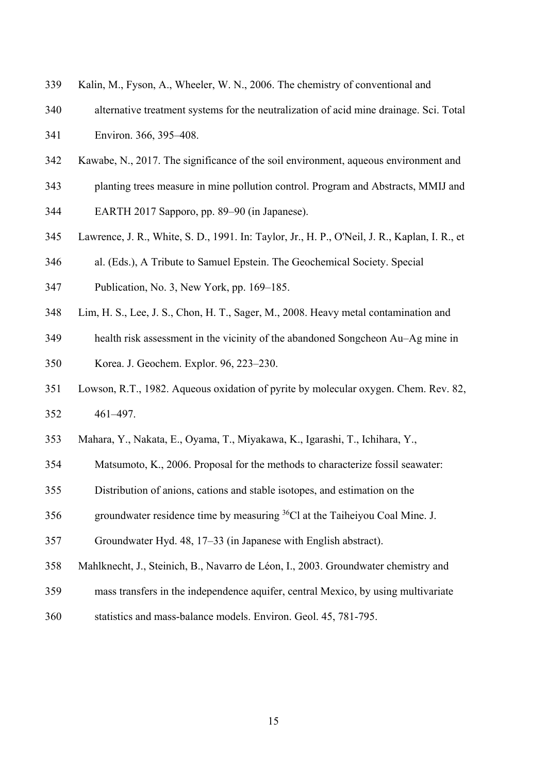- 339 Kalin, M., Fyson, A., Wheeler, W. N., 2006. The chemistry of conventional and
- 340 alternative treatment systems for the neutralization of acid mine drainage. Sci. Total 341 Environ. 366, 395–408.
- 342 Kawabe, N., 2017. The significance of the soil environment, aqueous environment and
- 343 planting trees measure in mine pollution control. Program and Abstracts, MMIJ and
- 344 EARTH 2017 Sapporo, pp. 89–90 (in Japanese).
- 345 Lawrence, J. R., White, S. D., 1991. In: Taylor, Jr., H. P., O'Neil, J. R., Kaplan, I. R., et
- 346 al. (Eds.), A Tribute to Samuel Epstein. The Geochemical Society. Special
- 347 Publication, No. 3, New York, pp. 169–185.
- 348 Lim, H. S., Lee, J. S., Chon, H. T., Sager, M., 2008. Heavy metal contamination and
- 349 health risk assessment in the vicinity of the abandoned Songcheon Au–Ag mine in 350 Korea. J. Geochem. Explor. 96, 223–230.
- 351 Lowson, R.T., 1982. Aqueous oxidation of pyrite by molecular oxygen. Chem. Rev. 82, 352 461–497.
- 353 Mahara, Y., Nakata, E., Oyama, T., Miyakawa, K., Igarashi, T., Ichihara, Y.,
- 354 Matsumoto, K., 2006. Proposal for the methods to characterize fossil seawater:
- 355 Distribution of anions, cations and stable isotopes, and estimation on the
- 356 groundwater residence time by measuring  ${}^{36}$ Cl at the Taiheiyou Coal Mine. J.
- 357 Groundwater Hyd. 48, 17–33 (in Japanese with English abstract).
- 358 Mahlknecht, J., Steinich, B., Navarro de Léon, I., 2003. Groundwater chemistry and
- 359 mass transfers in the independence aquifer, central Mexico, by using multivariate
- 360 statistics and mass-balance models. Environ. Geol. 45, 781-795.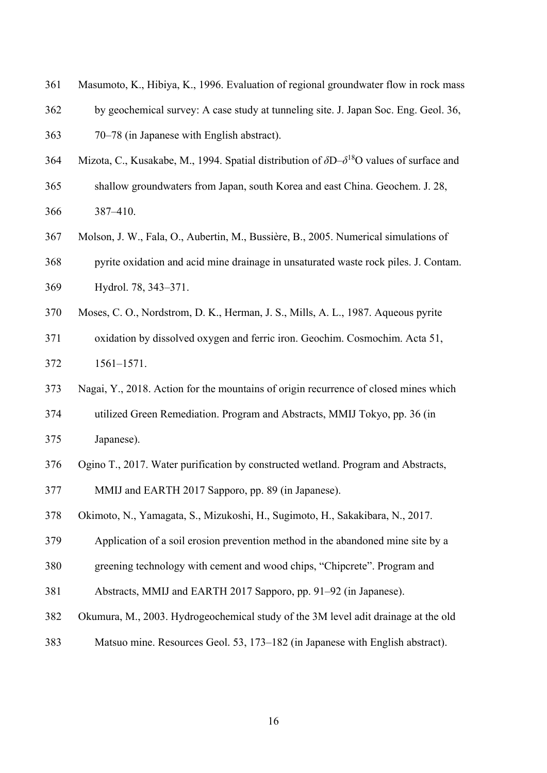- 361 Masumoto, K., Hibiya, K., 1996. Evaluation of regional groundwater flow in rock mass
- 362 by geochemical survey: A case study at tunneling site. J. Japan Soc. Eng. Geol. 36,
- 363 70–78 (in Japanese with English abstract).
- Mizota, C., Kusakabe, M., 1994. Spatial distribution of  $\delta D \delta^{18}O$  values of surface and
- 365 shallow groundwaters from Japan, south Korea and east China. Geochem. J. 28, 366 387–410.
- 367 Molson, J. W., Fala, O., Aubertin, M., Bussière, B., 2005. Numerical simulations of 368 pyrite oxidation and acid mine drainage in unsaturated waste rock piles. J. Contam.
- 369 Hydrol. 78, 343–371.
- 370 Moses, C. O., Nordstrom, D. K., Herman, J. S., Mills, A. L., 1987. Aqueous pyrite
- 371 oxidation by dissolved oxygen and ferric iron. Geochim. Cosmochim. Acta 51, 372 1561–1571.
- 373 Nagai, Y., 2018. Action for the mountains of origin recurrence of closed mines which 374 utilized Green Remediation. Program and Abstracts, MMIJ Tokyo, pp. 36 (in
- 375 Japanese).
- 376 Ogino T., 2017. Water purification by constructed wetland. Program and Abstracts,
- 377 MMIJ and EARTH 2017 Sapporo, pp. 89 (in Japanese).
- 378 Okimoto, N., Yamagata, S., Mizukoshi, H., Sugimoto, H., Sakakibara, N., 2017.
- 379 Application of a soil erosion prevention method in the abandoned mine site by a
- 380 greening technology with cement and wood chips, "Chipcrete". Program and
- 381 Abstracts, MMIJ and EARTH 2017 Sapporo, pp. 91–92 (in Japanese).
- 382 Okumura, M., 2003. Hydrogeochemical study of the 3M level adit drainage at the old
- 383 Matsuo mine. Resources Geol. 53, 173–182 (in Japanese with English abstract).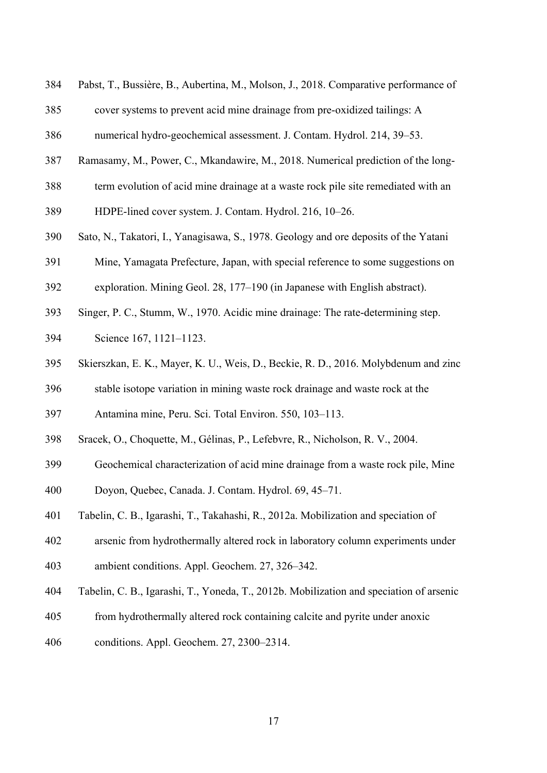- 384 Pabst, T., Bussière, B., Aubertina, M., Molson, J., 2018. Comparative performance of
- 385 cover systems to prevent acid mine drainage from pre-oxidized tailings: A
- 386 numerical hydro-geochemical assessment. J. Contam. Hydrol. 214, 39–53.
- 387 Ramasamy, M., Power, C., Mkandawire, M., 2018. Numerical prediction of the long-
- 388 term evolution of acid mine drainage at a waste rock pile site remediated with an
- 389 HDPE-lined cover system. J. Contam. Hydrol. 216, 10–26.
- 390 Sato, N., Takatori, I., Yanagisawa, S., 1978. Geology and ore deposits of the Yatani
- 391 Mine, Yamagata Prefecture, Japan, with special reference to some suggestions on
- 392 exploration. Mining Geol. 28, 177–190 (in Japanese with English abstract).
- 393 Singer, P. C., Stumm, W., 1970. Acidic mine drainage: The rate-determining step.
- 394 Science 167, 1121–1123.
- 395 Skierszkan, E. K., Mayer, K. U., Weis, D., Beckie, R. D., 2016. Molybdenum and zinc
- 396 stable isotope variation in mining waste rock drainage and waste rock at the
- 397 Antamina mine, Peru. Sci. Total Environ. 550, 103–113.
- 398 Sracek, O., Choquette, M., Gélinas, P., Lefebvre, R., Nicholson, R. V., 2004.
- 399 Geochemical characterization of acid mine drainage from a waste rock pile, Mine
- 400 Doyon, Quebec, Canada. J. Contam. Hydrol. 69, 45–71.
- 401 Tabelin, C. B., Igarashi, T., Takahashi, R., 2012a. Mobilization and speciation of
- 402 arsenic from hydrothermally altered rock in laboratory column experiments under
- 403 ambient conditions. Appl. Geochem. 27, 326–342.
- 404 Tabelin, C. B., Igarashi, T., Yoneda, T., 2012b. Mobilization and speciation of arsenic
- 405 from hydrothermally altered rock containing calcite and pyrite under anoxic
- 406 conditions. Appl. Geochem. 27, 2300–2314.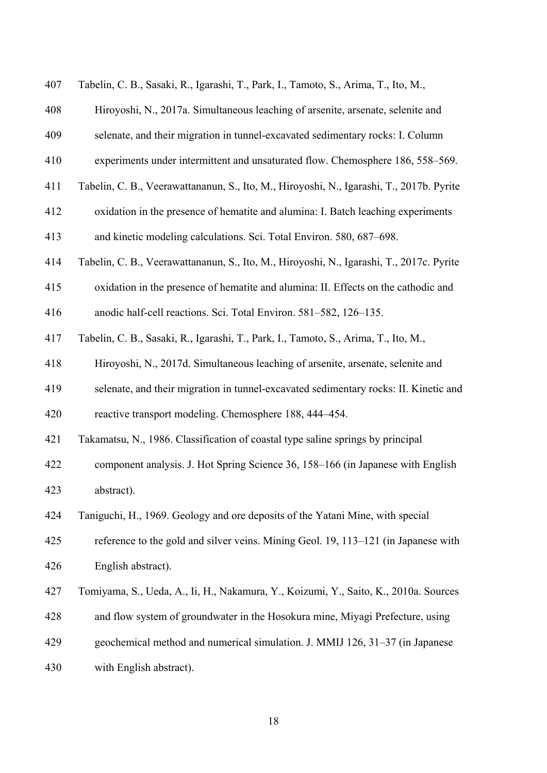| 407 | Tabelin, C. B., Sasaki, R., Igarashi, T., Park, I., Tamoto, S., Arima, T., Ito, M.,      |
|-----|------------------------------------------------------------------------------------------|
| 408 | Hiroyoshi, N., 2017a. Simultaneous leaching of arsenite, arsenate, selenite and          |
| 409 | selenate, and their migration in tunnel-excavated sedimentary rocks: I. Column           |
| 410 | experiments under intermittent and unsaturated flow. Chemosphere 186, 558–569.           |
| 411 | Tabelin, C. B., Veerawattananun, S., Ito, M., Hiroyoshi, N., Igarashi, T., 2017b. Pyrite |
| 412 | oxidation in the presence of hematite and alumina: I. Batch leaching experiments         |
| 413 | and kinetic modeling calculations. Sci. Total Environ. 580, 687–698.                     |
| 414 | Tabelin, C. B., Veerawattananun, S., Ito, M., Hiroyoshi, N., Igarashi, T., 2017c. Pyrite |
| 415 | oxidation in the presence of hematite and alumina: II. Effects on the cathodic and       |
| 416 | anodic half-cell reactions. Sci. Total Environ. 581–582, 126–135.                        |
| 417 | Tabelin, C. B., Sasaki, R., Igarashi, T., Park, I., Tamoto, S., Arima, T., Ito, M.,      |
| 418 | Hiroyoshi, N., 2017d. Simultaneous leaching of arsenite, arsenate, selenite and          |
| 419 | selenate, and their migration in tunnel-excavated sedimentary rocks: II. Kinetic and     |
| 420 | reactive transport modeling. Chemosphere 188, 444–454.                                   |
| 421 | Takamatsu, N., 1986. Classification of coastal type saline springs by principal          |
| 422 | component analysis. J. Hot Spring Science 36, 158–166 (in Japanese with English          |
| 423 | abstract).                                                                               |
| 424 | Taniguchi, H., 1969. Geology and ore deposits of the Yatani Mine, with special           |
| 425 | reference to the gold and silver veins. Mining Geol. 19, 113-121 (in Japanese with       |
| 426 | English abstract).                                                                       |
| 427 | Tomiyama, S., Ueda, A., Ii, H., Nakamura, Y., Koizumi, Y., Saito, K., 2010a. Sources     |
| 428 | and flow system of groundwater in the Hosokura mine, Miyagi Prefecture, using            |
| 429 | geochemical method and numerical simulation. J. MMIJ 126, 31-37 (in Japanese             |
| 430 | with English abstract).                                                                  |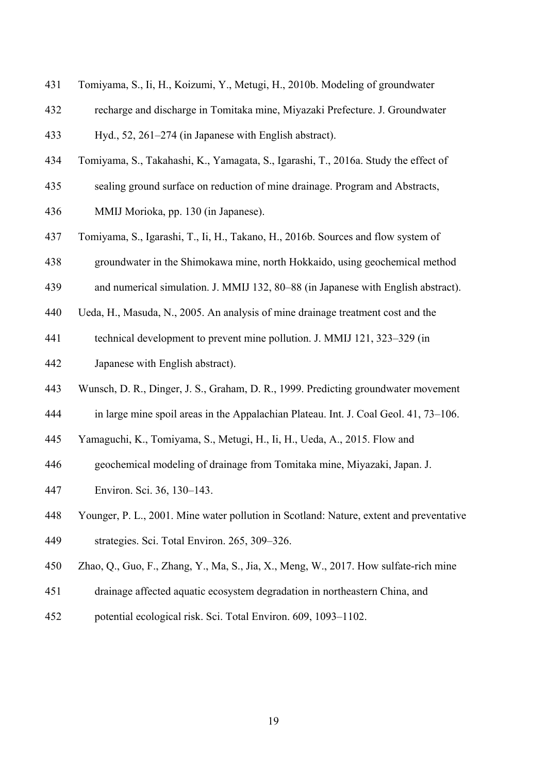- 431 Tomiyama, S., Ii, H., Koizumi, Y., Metugi, H., 2010b. Modeling of groundwater
- 432 recharge and discharge in Tomitaka mine, Miyazaki Prefecture. J. Groundwater 433 Hyd., 52, 261–274 (in Japanese with English abstract).
- 434 Tomiyama, S., Takahashi, K., Yamagata, S., Igarashi, T., 2016a. Study the effect of
- 435 sealing ground surface on reduction of mine drainage. Program and Abstracts,
- 436 MMIJ Morioka, pp. 130 (in Japanese).
- 437 Tomiyama, S., Igarashi, T., Ii, H., Takano, H., 2016b. Sources and flow system of
- 438 groundwater in the Shimokawa mine, north Hokkaido, using geochemical method
- 439 and numerical simulation. J. MMIJ 132, 80–88 (in Japanese with English abstract).
- 440 Ueda, H., Masuda, N., 2005. An analysis of mine drainage treatment cost and the
- 441 technical development to prevent mine pollution. J. MMIJ 121, 323–329 (in
- 442 Japanese with English abstract).
- 443 Wunsch, D. R., Dinger, J. S., Graham, D. R., 1999. Predicting groundwater movement
- 444 in large mine spoil areas in the Appalachian Plateau. Int. J. Coal Geol. 41, 73–106.
- 445 Yamaguchi, K., Tomiyama, S., Metugi, H., Ii, H., Ueda, A., 2015. Flow and
- 446 geochemical modeling of drainage from Tomitaka mine, Miyazaki, Japan. J.
- 447 Environ. Sci. 36, 130–143.
- 448 Younger, P. L., 2001. Mine water pollution in Scotland: Nature, extent and preventative 449 strategies. Sci. Total Environ. 265, 309–326.
- 450 Zhao, Q., Guo, F., Zhang, Y., Ma, S., Jia, X., Meng, W., 2017. How sulfate-rich mine
- 451 drainage affected aquatic ecosystem degradation in northeastern China, and
- 452 potential ecological risk. Sci. Total Environ. 609, 1093–1102.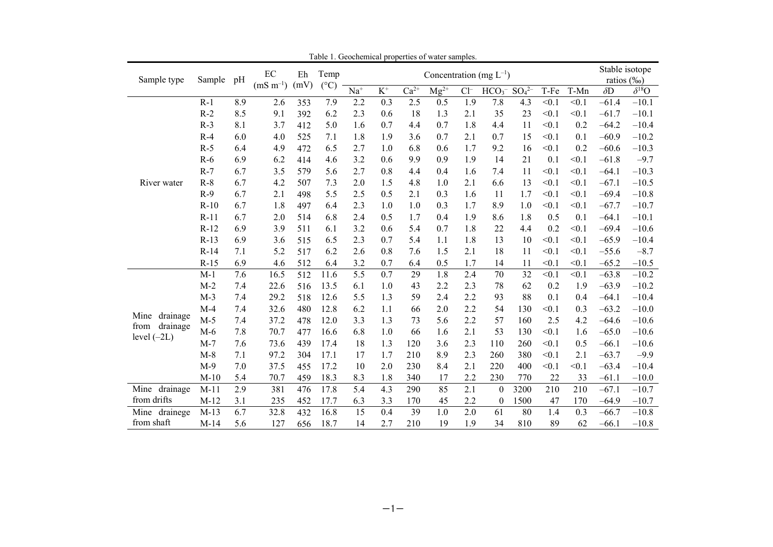| Sample type      | Table 1. Geochemical properties of water samples.<br>$\rm EC$<br>Temp<br>Eh<br>Concentration (mg $L^{-1}$ )<br>Sample<br>pH<br>$(mS m^{-1})$<br>(mV)<br>$(^{\circ}C)$ |     |      |     |      |                   | Stable isotope<br>ratios (‰) |        |           |        |                  |             |       |       |            |                |
|------------------|-----------------------------------------------------------------------------------------------------------------------------------------------------------------------|-----|------|-----|------|-------------------|------------------------------|--------|-----------|--------|------------------|-------------|-------|-------|------------|----------------|
|                  |                                                                                                                                                                       |     |      |     |      | $\overline{Na}^+$ | $\overline{K^+}$             | $Ca2+$ | $Mg^{2+}$ | $Cl^-$ | HCO <sub>3</sub> | $SO_4^{2-}$ | T-Fe  | T-Mn  | $\delta D$ | $\delta^{18}O$ |
|                  | $R-1$                                                                                                                                                                 | 8.9 | 2.6  | 353 | 7.9  | 2.2               | 0.3                          | 2.5    | 0.5       | 1.9    | 7.8              | 4.3         | < 0.1 | < 0.1 | $-61.4$    | $-10.1$        |
|                  | $R-2$                                                                                                                                                                 | 8.5 | 9.1  | 392 | 6.2  | 2.3               | 0.6                          | 18     | 1.3       | 2.1    | 35               | 23          | < 0.1 | < 0.1 | $-61.7$    | $-10.1$        |
|                  | $R-3$                                                                                                                                                                 | 8.1 | 3.7  | 412 | 5.0  | 1.6               | 0.7                          | 4.4    | 0.7       | 1.8    | 4.4              | 11          | < 0.1 | 0.2   | $-64.2$    | $-10.4$        |
|                  | $R-4$                                                                                                                                                                 | 6.0 | 4.0  | 525 | 7.1  | 1.8               | 1.9                          | 3.6    | 0.7       | 2.1    | 0.7              | 15          | < 0.1 | 0.1   | $-60.9$    | $-10.2$        |
|                  | $R-5$                                                                                                                                                                 | 6.4 | 4.9  | 472 | 6.5  | 2.7               | 1.0                          | 6.8    | 0.6       | 1.7    | 9.2              | 16          | < 0.1 | 0.2   | $-60.6$    | $-10.3$        |
|                  | $R-6$                                                                                                                                                                 | 6.9 | 6.2  | 414 | 4.6  | 3.2               | 0.6                          | 9.9    | 0.9       | 1.9    | 14               | 21          | 0.1   | < 0.1 | $-61.8$    | $-9.7$         |
|                  | $R-7$                                                                                                                                                                 | 6.7 | 3.5  | 579 | 5.6  | 2.7               | 0.8                          | 4.4    | 0.4       | 1.6    | 7.4              | 11          | < 0.1 | < 0.1 | $-64.1$    | $-10.3$        |
| River water      | $R-8$                                                                                                                                                                 | 6.7 | 4.2  | 507 | 7.3  | 2.0               | 1.5                          | 4.8    | 1.0       | 2.1    | 6.6              | 13          | < 0.1 | < 0.1 | $-67.1$    | $-10.5$        |
|                  | $R-9$                                                                                                                                                                 | 6.7 | 2.1  | 498 | 5.5  | 2.5               | 0.5                          | 2.1    | 0.3       | 1.6    | 11               | 1.7         | < 0.1 | < 0.1 | $-69.4$    | $-10.8$        |
|                  | $R-10$                                                                                                                                                                | 6.7 | 1.8  | 497 | 6.4  | 2.3               | 1.0                          | 1.0    | 0.3       | 1.7    | 8.9              | 1.0         | < 0.1 | < 0.1 | $-67.7$    | $-10.7$        |
|                  | $R-11$                                                                                                                                                                | 6.7 | 2.0  | 514 | 6.8  | 2.4               | 0.5                          | 1.7    | 0.4       | 1.9    | 8.6              | 1.8         | 0.5   | 0.1   | $-64.1$    | $-10.1$        |
|                  | $R-12$                                                                                                                                                                | 6.9 | 3.9  | 511 | 6.1  | 3.2               | 0.6                          | 5.4    | 0.7       | 1.8    | 22               | 4.4         | 0.2   | < 0.1 | $-69.4$    | $-10.6$        |
|                  | $R-13$                                                                                                                                                                | 6.9 | 3.6  | 515 | 6.5  | 2.3               | 0.7                          | 5.4    | 1.1       | 1.8    | 13               | 10          | < 0.1 | < 0.1 | $-65.9$    | $-10.4$        |
|                  | $R-14$                                                                                                                                                                | 7.1 | 5.2  | 517 | 6.2  | 2.6               | 0.8                          | 7.6    | 1.5       | 2.1    | 18               | 11          | < 0.1 | < 0.1 | $-55.6$    | $-8.7$         |
|                  | $R-15$                                                                                                                                                                | 6.9 | 4.6  | 512 | 6.4  | 3.2               | 0.7                          | 6.4    | 0.5       | 1.7    | 14               | 11          | < 0.1 | < 0.1 | $-65.2$    | $-10.5$        |
|                  | $M-1$                                                                                                                                                                 | 7.6 | 16.5 | 512 | 11.6 | 5.5               | 0.7                          | 29     | 1.8       | 2.4    | 70               | 32          | < 0.1 | < 0.1 | $-63.8$    | $-10.2$        |
|                  | $M-2$                                                                                                                                                                 | 7.4 | 22.6 | 516 | 13.5 | 6.1               | 1.0                          | 43     | 2.2       | 2.3    | 78               | 62          | 0.2   | 1.9   | $-63.9$    | $-10.2$        |
|                  | $M-3$                                                                                                                                                                 | 7.4 | 29.2 | 518 | 12.6 | 5.5               | 1.3                          | 59     | 2.4       | 2.2    | 93               | 88          | 0.1   | 0.4   | $-64.1$    | $-10.4$        |
|                  | $M-4$                                                                                                                                                                 | 7.4 | 32.6 | 480 | 12.8 | 6.2               | 1.1                          | 66     | 2.0       | 2.2    | 54               | 130         | < 0.1 | 0.3   | $-63.2$    | $-10.0$        |
| Mine drainage    | $M-5$                                                                                                                                                                 | 7.4 | 37.2 | 478 | 12.0 | 3.3               | 1.3                          | 73     | 5.6       | 2.2    | 57               | 160         | 2.5   | 4.2   | $-64.6$    | $-10.6$        |
| drainage<br>from | $M-6$                                                                                                                                                                 | 7.8 | 70.7 | 477 | 16.6 | 6.8               | 1.0                          | 66     | 1.6       | 2.1    | 53               | 130         | < 0.1 | 1.6   | $-65.0$    | $-10.6$        |
| level $(-2L)$    | $M-7$                                                                                                                                                                 | 7.6 | 73.6 | 439 | 17.4 | 18                | 1.3                          | 120    | 3.6       | 2.3    | 110              | 260         | < 0.1 | 0.5   | $-66.1$    | $-10.6$        |
|                  | $M-8$                                                                                                                                                                 | 7.1 | 97.2 | 304 | 17.1 | 17                | 1.7                          | 210    | 8.9       | 2.3    | 260              | 380         | < 0.1 | 2.1   | $-63.7$    | $-9.9$         |
|                  | $M-9$                                                                                                                                                                 | 7.0 | 37.5 | 455 | 17.2 | 10                | 2.0                          | 230    | 8.4       | 2.1    | 220              | 400         | < 0.1 | < 0.1 | $-63.4$    | $-10.4$        |
|                  | $M-10$                                                                                                                                                                | 5.4 | 70.7 | 459 | 18.3 | 8.3               | 1.8                          | 340    | 17        | 2.2    | 230              | 770         | 22    | 33    | $-61.1$    | $-10.0$        |
| Mine drainage    | $M-11$                                                                                                                                                                | 2.9 | 381  | 476 | 17.8 | 5.4               | 4.3                          | 290    | 85        | 2.1    | $\theta$         | 3200        | 210   | 210   | $-67.1$    | $-10.7$        |
| from drifts      | $M-12$                                                                                                                                                                | 3.1 | 235  | 452 | 17.7 | 6.3               | 3.3                          | 170    | 45        | 2.2    | $\boldsymbol{0}$ | 1500        | 47    | 170   | $-64.9$    | $-10.7$        |
| Mine drainege    | $M-13$                                                                                                                                                                | 6.7 | 32.8 | 432 | 16.8 | 15                | 0.4                          | 39     | 1.0       | 2.0    | 61               | 80          | 1.4   | 0.3   | $-66.7$    | $-10.8$        |
| from shaft       | $M-14$                                                                                                                                                                | 5.6 | 127  | 656 | 18.7 | 14                | 2.7                          | 210    | 19        | 1.9    | 34               | 810         | 89    | 62    | $-66.1$    | $-10.8$        |

Table 1. Geochemical properties of water samples.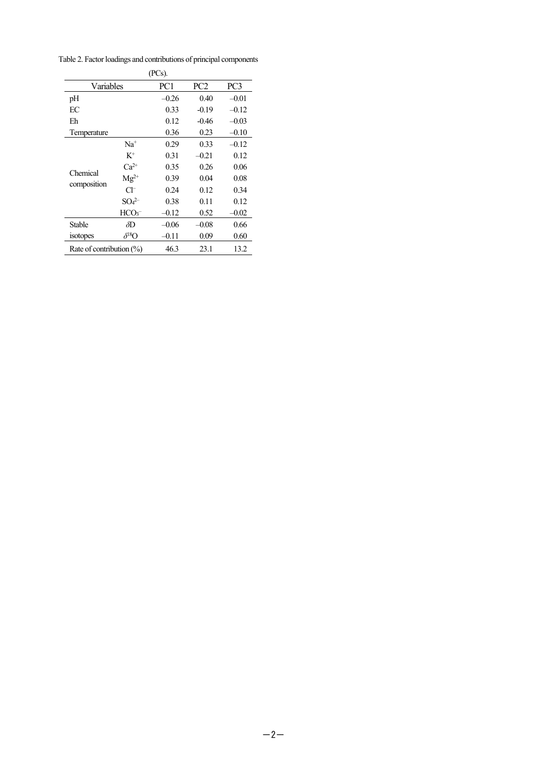| $(PCs)$ .                   |                               |         |                 |         |  |  |  |
|-----------------------------|-------------------------------|---------|-----------------|---------|--|--|--|
| Variables                   |                               | PC1     | PC <sub>2</sub> | PC3     |  |  |  |
| pH                          |                               | $-0.26$ | 0.40            | $-0.01$ |  |  |  |
| EC                          |                               | 0.33    | $-0.19$         |         |  |  |  |
| Eh                          |                               | 0.12    | $-0.46$         |         |  |  |  |
| Temperature                 |                               | 0.36    | 0.23            | $-0.10$ |  |  |  |
|                             | $Na+$                         | 0.29    | 0.33            | $-0.12$ |  |  |  |
|                             | $K^+$                         | 0.31    | $-0.21$         | 0.12    |  |  |  |
| Chemical                    | $Ca^{2+}$                     | 0.35    | 0.26            | 0.06    |  |  |  |
|                             | $Mg^{2+}$                     | 0.39    | 0.04            | 0.08    |  |  |  |
| composition                 | СF                            | 0.24    | 0.12            | 0.34    |  |  |  |
|                             | SO <sub>4</sub> <sup>2–</sup> | 0.38    | 0.11            | 0.12    |  |  |  |
|                             | HCO <sub>3</sub>              | $-0.12$ | 0.52            | $-0.02$ |  |  |  |
| $\delta D$<br><b>Stable</b> |                               | $-0.06$ | $-0.08$         | 0.66    |  |  |  |
| isotopes                    | $\delta^{18}$ O               | $-0.11$ | 0.09            | 0.60    |  |  |  |
| Rate of contribution $(\%)$ |                               | 46.3    | 23.1            | 13.2    |  |  |  |

Table 2. Factor loadings and contributions of principal components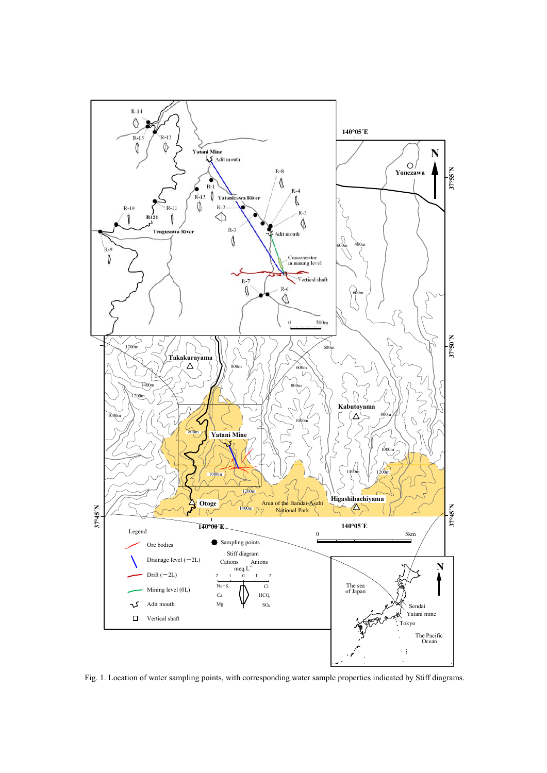

Fig. 1. Location of water sampling points, with corresponding water sample properties indicated by Stiff diagrams.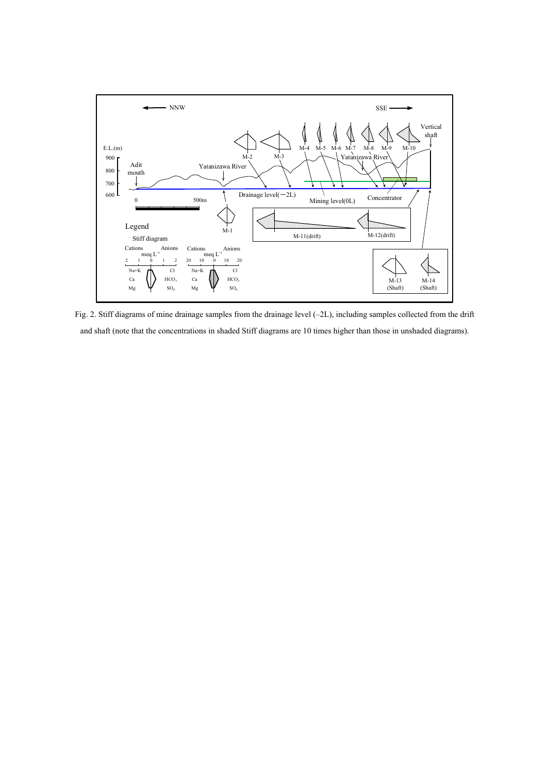

Fig. 2. Stiff diagrams of mine drainage samples from the drainage level (–2L), including samples collected from the drift and shaft (note that the concentrations in shaded Stiff diagrams are 10 times higher than those in unshaded diagrams).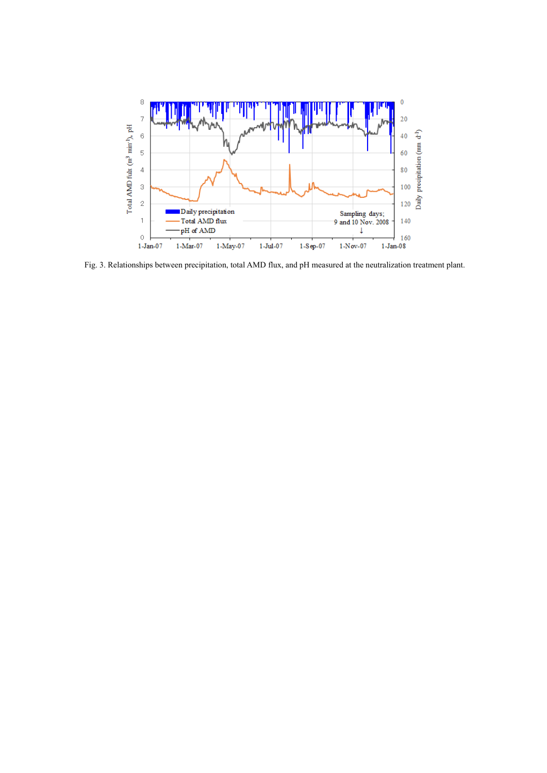

Fig. 3. Relationships between precipitation, total AMD flux, and pH measured at the neutralization treatment plant.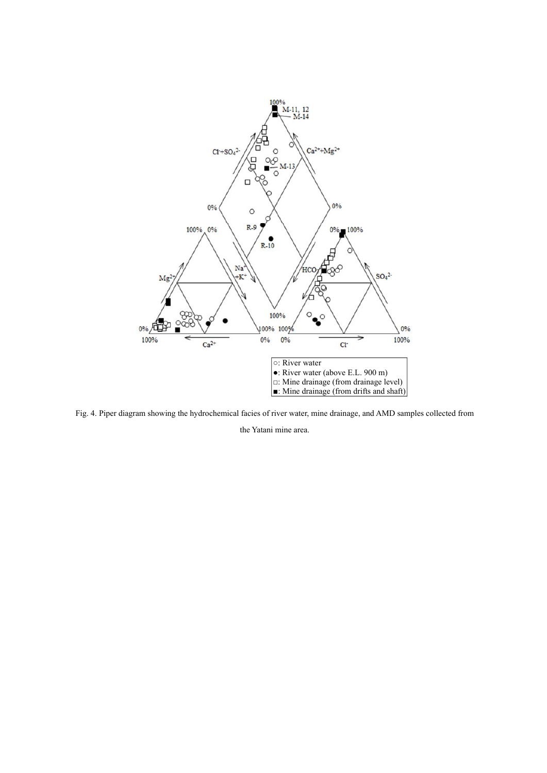

Fig. 4. Piper diagram showing the hydrochemical facies of river water, mine drainage, and AMD samples collected from

the Yatani mine area.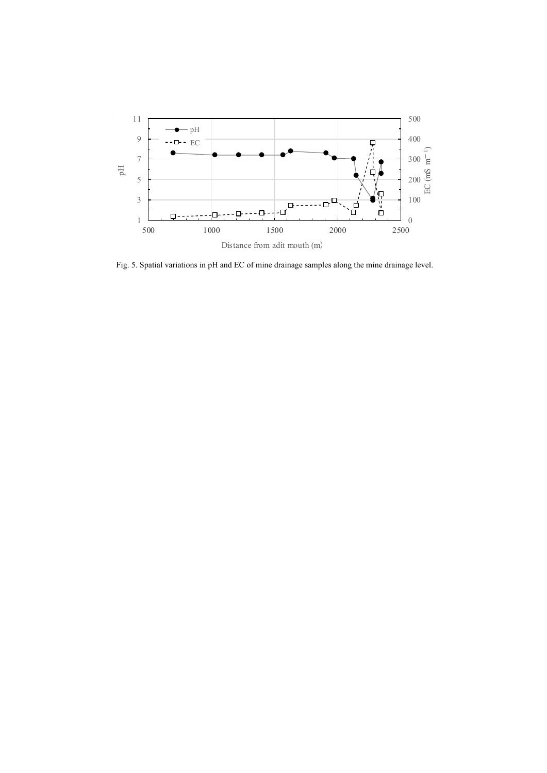

Fig. 5. Spatial variations in pH and EC of mine drainage samples along the mine drainage level.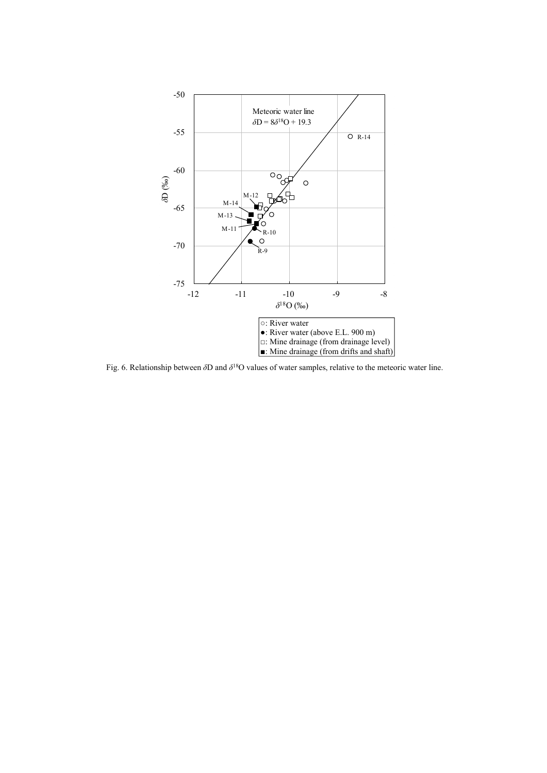

Fig. 6. Relationship between *δ*D and *δ*18O values of water samples, relative to the meteoric water line.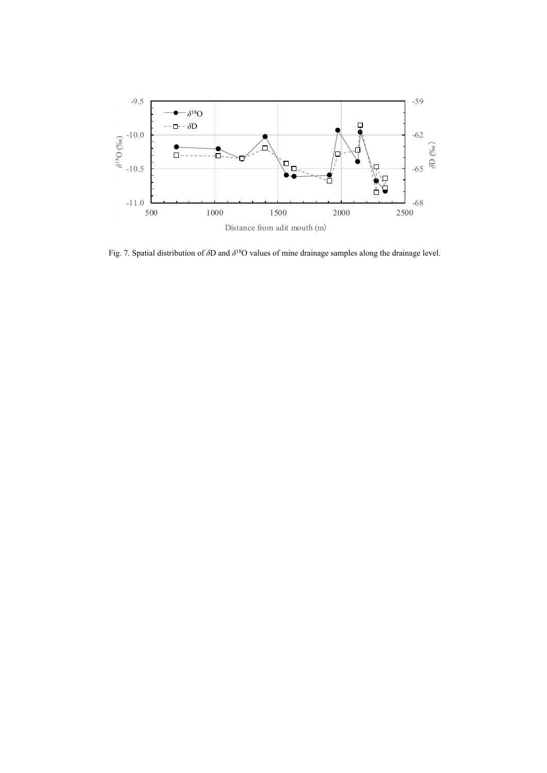

Fig. 7. Spatial distribution of *δ*D and *δ*18O values of mine drainage samples along the drainage level.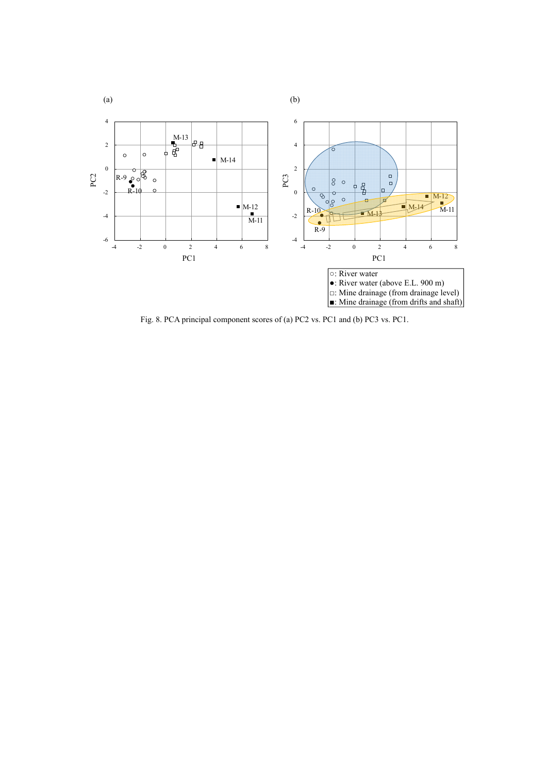

Fig. 8. PCA principal component scores of (a) PC2 vs. PC1 and (b) PC3 vs. PC1.